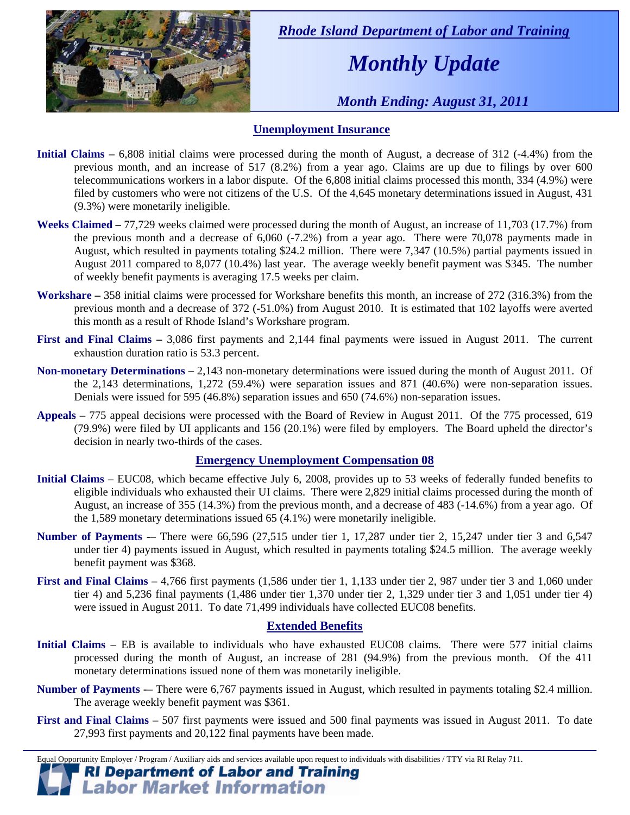

 *Rhode Island Department of Labor and Training* 

# *Monthly Update*

 *Month Ending: August 31, 2011* 

### **Unemployment Insurance**

- **Initial Claims** 6,808 initial claims were processed during the month of August, a decrease of 312 (-4.4%) from the previous month, and an increase of 517 (8.2%) from a year ago. Claims are up due to filings by over 600 telecommunications workers in a labor dispute. Of the 6,808 initial claims processed this month, 334 (4.9%) were filed by customers who were not citizens of the U.S. Of the 4,645 monetary determinations issued in August, 431 (9.3%) were monetarily ineligible.
- **Weeks Claimed** 77,729 weeks claimed were processed during the month of August, an increase of 11,703 (17.7%) from the previous month and a decrease of 6,060 (-7.2%) from a year ago. There were 70,078 payments made in August, which resulted in payments totaling \$24.2 million. There were 7,347 (10.5%) partial payments issued in August 2011 compared to 8,077 (10.4%) last year. The average weekly benefit payment was \$345. The number of weekly benefit payments is averaging 17.5 weeks per claim.
- **Workshare –** 358 initial claims were processed for Workshare benefits this month, an increase of 272 (316.3%) from the previous month and a decrease of 372 (-51.0%) from August 2010. It is estimated that 102 layoffs were averted this month as a result of Rhode Island's Workshare program.
- **First and Final Claims –** 3,086 first payments and 2,144 final payments were issued in August 2011. The current exhaustion duration ratio is 53.3 percent.
- **Non-monetary Determinations –** 2,143 non-monetary determinations were issued during the month of August 2011. Of the 2,143 determinations, 1,272 (59.4%) were separation issues and 871 (40.6%) were non-separation issues. Denials were issued for 595 (46.8%) separation issues and 650 (74.6%) non-separation issues.
- **Appeals** 775 appeal decisions were processed with the Board of Review in August 2011. Of the 775 processed, 619 (79.9%) were filed by UI applicants and 156 (20.1%) were filed by employers. The Board upheld the director's decision in nearly two-thirds of the cases.

### **Emergency Unemployment Compensation 08**

- **Initial Claims**  EUC08, which became effective July 6, 2008, provides up to 53 weeks of federally funded benefits to eligible individuals who exhausted their UI claims. There were 2,829 initial claims processed during the month of August, an increase of 355 (14.3%) from the previous month, and a decrease of 483 (-14.6%) from a year ago. Of the 1,589 monetary determinations issued 65 (4.1%) were monetarily ineligible.
- **Number of Payments** -– There were 66,596 (27,515 under tier 1, 17,287 under tier 2, 15,247 under tier 3 and 6,547 under tier 4) payments issued in August, which resulted in payments totaling \$24.5 million. The average weekly benefit payment was \$368.
- **First and Final Claims**  4,766 first payments (1,586 under tier 1, 1,133 under tier 2, 987 under tier 3 and 1,060 under tier 4) and 5,236 final payments (1,486 under tier 1,370 under tier 2, 1,329 under tier 3 and 1,051 under tier 4) were issued in August 2011. To date 71,499 individuals have collected EUC08 benefits.

### **Extended Benefits**

- **Initial Claims**  EB is available to individuals who have exhausted EUC08 claims. There were 577 initial claims processed during the month of August, an increase of 281 (94.9%) from the previous month. Of the 411 monetary determinations issued none of them was monetarily ineligible.
- **Number of Payments** -– There were 6,767 payments issued in August, which resulted in payments totaling \$2.4 million. The average weekly benefit payment was \$361.
- **First and Final Claims**  507 first payments were issued and 500 final payments was issued in August 2011. To date 27,993 first payments and 20,122 final payments have been made.

Equal Opportunity Employer / Program / Auxiliary aids and services available upon request to individuals with disabilities / TTY via RI Relay 711.

### **RI Department of Labor and Training Labor Market Information**